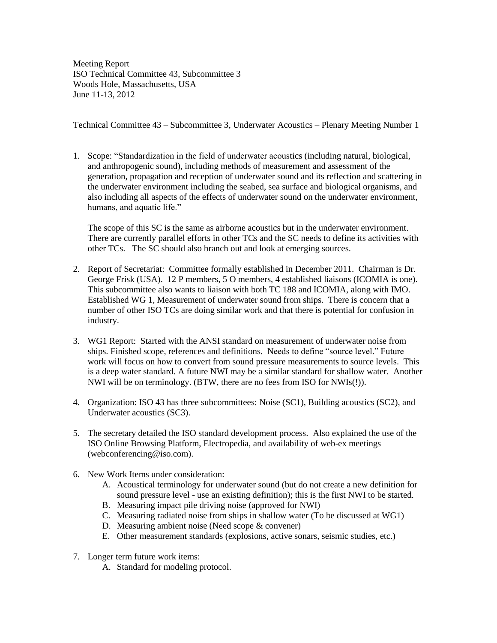Meeting Report ISO Technical Committee 43, Subcommittee 3 Woods Hole, Massachusetts, USA June 11-13, 2012

Technical Committee 43 – Subcommittee 3, Underwater Acoustics – Plenary Meeting Number 1

1. Scope: "Standardization in the field of underwater acoustics (including natural, biological, and anthropogenic sound), including methods of measurement and assessment of the generation, propagation and reception of underwater sound and its reflection and scattering in the underwater environment including the seabed, sea surface and biological organisms, and also including all aspects of the effects of underwater sound on the underwater environment, humans, and aquatic life."

The scope of this SC is the same as airborne acoustics but in the underwater environment. There are currently parallel efforts in other TCs and the SC needs to define its activities with other TCs. The SC should also branch out and look at emerging sources.

- 2. Report of Secretariat: Committee formally established in December 2011. Chairman is Dr. George Frisk (USA). 12 P members, 5 O members, 4 established liaisons (ICOMIA is one). This subcommittee also wants to liaison with both TC 188 and ICOMIA, along with IMO. Established WG 1, Measurement of underwater sound from ships. There is concern that a number of other ISO TCs are doing similar work and that there is potential for confusion in industry.
- 3. WG1 Report: Started with the ANSI standard on measurement of underwater noise from ships. Finished scope, references and definitions. Needs to define "source level." Future work will focus on how to convert from sound pressure measurements to source levels. This is a deep water standard. A future NWI may be a similar standard for shallow water. Another NWI will be on terminology. (BTW, there are no fees from ISO for NWIs(!)).
- 4. Organization: ISO 43 has three subcommittees: Noise (SC1), Building acoustics (SC2), and Underwater acoustics (SC3).
- 5. The secretary detailed the ISO standard development process. Also explained the use of the ISO Online Browsing Platform, Electropedia, and availability of web-ex meetings (webconferencing@iso.com).
- 6. New Work Items under consideration:
	- A. Acoustical terminology for underwater sound (but do not create a new definition for sound pressure level - use an existing definition); this is the first NWI to be started.
	- B. Measuring impact pile driving noise (approved for NWI)
	- C. Measuring radiated noise from ships in shallow water (To be discussed at WG1)
	- D. Measuring ambient noise (Need scope & convener)
	- E. Other measurement standards (explosions, active sonars, seismic studies, etc.)
- 7. Longer term future work items:
	- A. Standard for modeling protocol.